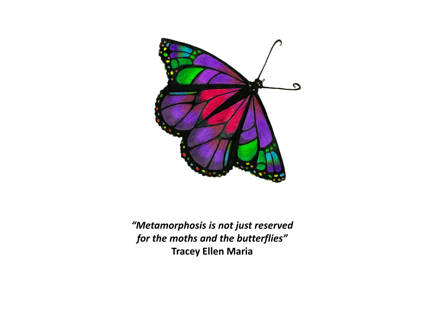

*"Metamorphosis is not just reserved for the moths and the butterflies"* **Tracey Ellen Maria**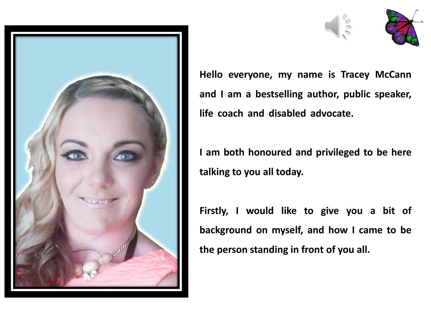





**Hello everyone, my name is Tracey McCann and I am a bestselling author, public speaker, life coach and disabled advocate. .**

**I am both honoured and privileged to be here talking to you all today.**

**Firstly, I would like to give you a bit of background on myself, and how I came to be the person standing in front of you all.**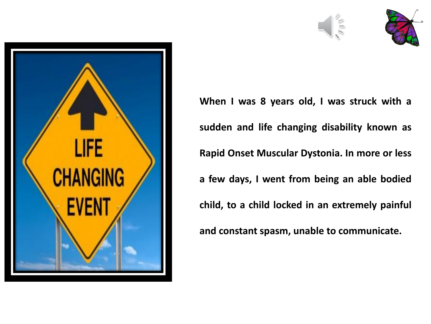





**When I was 8 years old, I was struck with a sudden and life changing disability known as Rapid Onset Muscular Dystonia. In more or less a few days, I went from being an able bodied child, to a child locked in an extremely painful and constant spasm, unable to communicate.**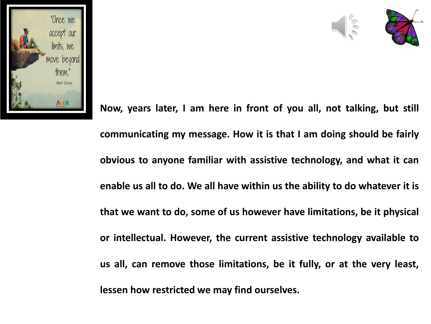



**Now, years later, I am here in front of you all, not talking, but still communicating my message. How it is that I am doing should be fairly obvious to anyone familiar with assistive technology, and what it can enable us all to do. We all have within us the ability to do whatever it is that we want to do, some of us however have limitations, be it physical or intellectual. However, the current assistive technology available to us all, can remove those limitations, be it fully, or at the very least, lessen how restricted we may find ourselves.**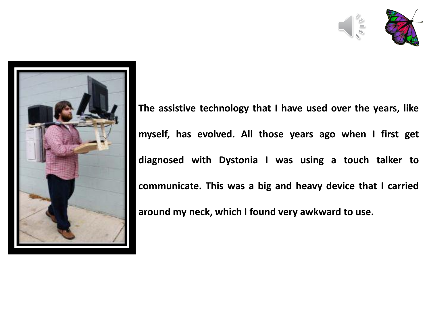



**The assistive technology that I have used over the years, like myself, has evolved. All those years ago when I first get diagnosed with Dystonia I was using a touch talker to communicate. This was a big and heavy device that I carried around my neck, which I found very awkward to use.**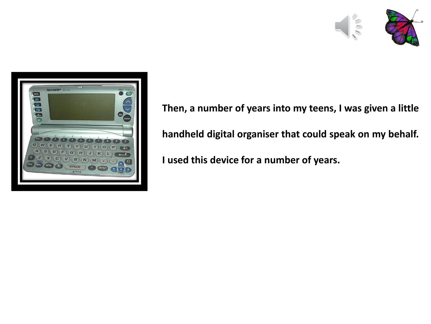



**Then, a number of years into my teens, I was given a little handheld digital organiser that could speak on my behalf. I used this device for a number of years.**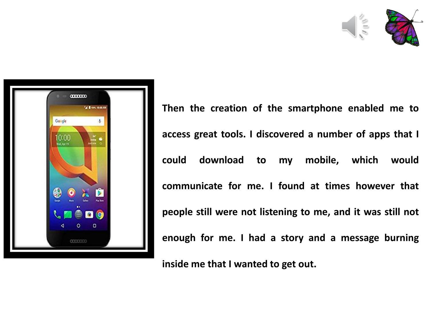



**Then the creation of the smartphone enabled me to access great tools. I discovered a number of apps that I could download to my mobile, which would communicate for me. I found at times however that people still were not listening to me, and it was still not enough for me. I had a story and a message burning**

**inside me that I wanted to get out.**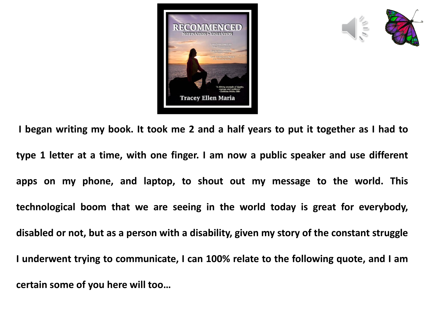



I began writing my book. It took me 2 and a half years to put it together as I had to **type 1 letter at a time, with one finger. I am now a public speaker and use different apps on my phone, and laptop, to shout out my message to the world. This technological boom that we are seeing in the world today is great for everybody, disabled or not, but as a person with a disability, given my story of the constant struggle I underwent trying to communicate, I can 100% relate to the following quote, and I am certain some of you here will too…**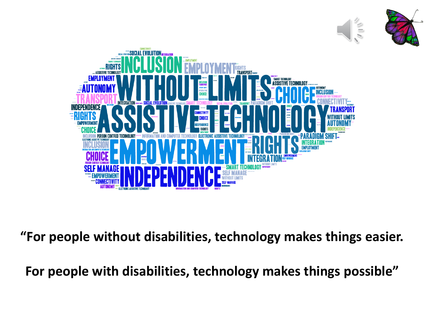



**"For people without disabilities, technology makes things easier.** 

**For people with disabilities, technology makes things possible"**